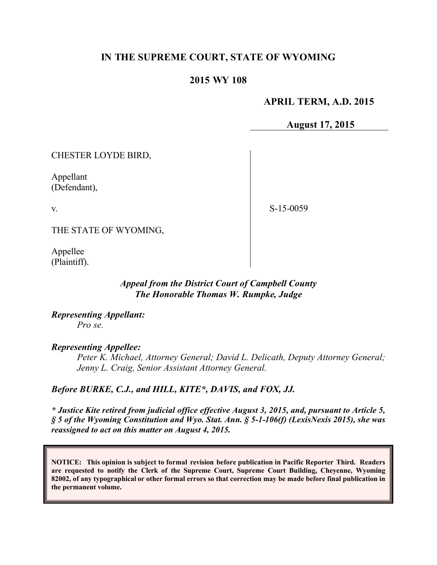### **IN THE SUPREME COURT, STATE OF WYOMING**

#### **2015 WY 108**

### **APRIL TERM, A.D. 2015**

**August 17, 2015**

CHESTER LOYDE BIRD,

Appellant (Defendant),

v.

S-15-0059

THE STATE OF WYOMING,

Appellee (Plaintiff).

#### *Appeal from the District Court of Campbell County The Honorable Thomas W. Rumpke, Judge*

*Representing Appellant: Pro se.*

#### *Representing Appellee:*

*Peter K. Michael, Attorney General; David L. Delicath, Deputy Attorney General; Jenny L. Craig, Senior Assistant Attorney General.*

#### *Before BURKE, C.J., and HILL, KITE\*, DAVIS, and FOX, JJ.*

*\* Justice Kite retired from judicial office effective August 3, 2015, and, pursuant to Article 5, § 5 of the Wyoming Constitution and Wyo. Stat. Ann. § 5-1-106(f) (LexisNexis 2015), she was reassigned to act on this matter on August 4, 2015.*

**NOTICE: This opinion is subject to formal revision before publication in Pacific Reporter Third. Readers are requested to notify the Clerk of the Supreme Court, Supreme Court Building, Cheyenne, Wyoming 82002, of any typographical or other formal errors so that correction may be made before final publication in the permanent volume.**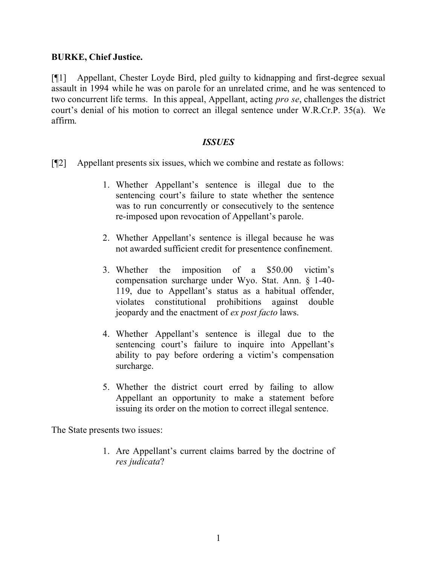### **BURKE, Chief Justice.**

[¶1] Appellant, Chester Loyde Bird, pled guilty to kidnapping and first-degree sexual assault in 1994 while he was on parole for an unrelated crime, and he was sentenced to two concurrent life terms. In this appeal, Appellant, acting *pro se*, challenges the district court's denial of his motion to correct an illegal sentence under W.R.Cr.P. 35(a). We affirm.

#### *ISSUES*

- [¶2] Appellant presents six issues, which we combine and restate as follows:
	- 1. Whether Appellant's sentence is illegal due to the sentencing court's failure to state whether the sentence was to run concurrently or consecutively to the sentence re-imposed upon revocation of Appellant's parole.
	- 2. Whether Appellant's sentence is illegal because he was not awarded sufficient credit for presentence confinement.
	- 3. Whether the imposition of a \$50.00 victim's compensation surcharge under Wyo. Stat. Ann. § 1-40- 119, due to Appellant's status as a habitual offender, violates constitutional prohibitions against double jeopardy and the enactment of *ex post facto* laws.
	- 4. Whether Appellant's sentence is illegal due to the sentencing court's failure to inquire into Appellant's ability to pay before ordering a victim's compensation surcharge.
	- 5. Whether the district court erred by failing to allow Appellant an opportunity to make a statement before issuing its order on the motion to correct illegal sentence.

The State presents two issues:

1. Are Appellant's current claims barred by the doctrine of *res judicata*?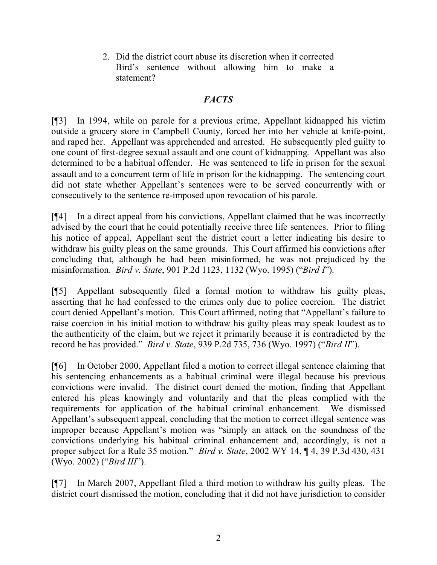2. Did the district court abuse its discretion when it corrected Bird's sentence without allowing him to make a statement?

# *FACTS*

[¶3] In 1994, while on parole for a previous crime, Appellant kidnapped his victim outside a grocery store in Campbell County, forced her into her vehicle at knife-point, and raped her. Appellant was apprehended and arrested. He subsequently pled guilty to one count of first-degree sexual assault and one count of kidnapping. Appellant was also determined to be a habitual offender. He was sentenced to life in prison for the sexual assault and to a concurrent term of life in prison for the kidnapping. The sentencing court did not state whether Appellant's sentences were to be served concurrently with or consecutively to the sentence re-imposed upon revocation of his parole.

[¶4] In a direct appeal from his convictions, Appellant claimed that he was incorrectly advised by the court that he could potentially receive three life sentences. Prior to filing his notice of appeal, Appellant sent the district court a letter indicating his desire to withdraw his guilty pleas on the same grounds. This Court affirmed his convictions after concluding that, although he had been misinformed, he was not prejudiced by the misinformation. *Bird v. State*, 901 P.2d 1123, 1132 (Wyo. 1995) ("*Bird I*").

[¶5] Appellant subsequently filed a formal motion to withdraw his guilty pleas, asserting that he had confessed to the crimes only due to police coercion. The district court denied Appellant's motion. This Court affirmed, noting that "Appellant's failure to raise coercion in his initial motion to withdraw his guilty pleas may speak loudest as to the authenticity of the claim, but we reject it primarily because it is contradicted by the record he has provided." *Bird v. State*, 939 P.2d 735, 736 (Wyo. 1997) ("*Bird II*").

[¶6] In October 2000, Appellant filed a motion to correct illegal sentence claiming that his sentencing enhancements as a habitual criminal were illegal because his previous convictions were invalid. The district court denied the motion, finding that Appellant entered his pleas knowingly and voluntarily and that the pleas complied with the requirements for application of the habitual criminal enhancement. We dismissed Appellant's subsequent appeal, concluding that the motion to correct illegal sentence was improper because Appellant's motion was "simply an attack on the soundness of the convictions underlying his habitual criminal enhancement and, accordingly, is not a proper subject for a Rule 35 motion." *Bird v. State*, 2002 WY 14, ¶ 4, 39 P.3d 430, 431 (Wyo. 2002) ("*Bird III*").

[¶7] In March 2007, Appellant filed a third motion to withdraw his guilty pleas. The district court dismissed the motion, concluding that it did not have jurisdiction to consider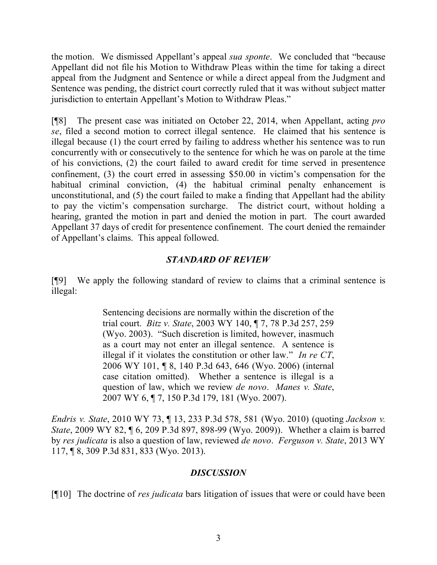the motion. We dismissed Appellant's appeal *sua sponte*. We concluded that "because Appellant did not file his Motion to Withdraw Pleas within the time for taking a direct appeal from the Judgment and Sentence or while a direct appeal from the Judgment and Sentence was pending, the district court correctly ruled that it was without subject matter jurisdiction to entertain Appellant's Motion to Withdraw Pleas."

[¶8] The present case was initiated on October 22, 2014, when Appellant, acting *pro se*, filed a second motion to correct illegal sentence. He claimed that his sentence is illegal because (1) the court erred by failing to address whether his sentence was to run concurrently with or consecutively to the sentence for which he was on parole at the time of his convictions, (2) the court failed to award credit for time served in presentence confinement, (3) the court erred in assessing \$50.00 in victim's compensation for the habitual criminal conviction, (4) the habitual criminal penalty enhancement is unconstitutional, and (5) the court failed to make a finding that Appellant had the ability to pay the victim's compensation surcharge. The district court, without holding a hearing, granted the motion in part and denied the motion in part. The court awarded Appellant 37 days of credit for presentence confinement. The court denied the remainder of Appellant's claims. This appeal followed.

## *STANDARD OF REVIEW*

[¶9] We apply the following standard of review to claims that a criminal sentence is illegal:

> Sentencing decisions are normally within the discretion of the trial court. *Bitz v. State*, 2003 WY 140, ¶ 7, 78 P.3d 257, 259 (Wyo. 2003). "Such discretion is limited, however, inasmuch as a court may not enter an illegal sentence. A sentence is illegal if it violates the constitution or other law." *In re CT*, 2006 WY 101, ¶ 8, 140 P.3d 643, 646 (Wyo. 2006) (internal case citation omitted). Whether a sentence is illegal is a question of law, which we review *de novo*. *Manes v. State*, 2007 WY 6, ¶ 7, 150 P.3d 179, 181 (Wyo. 2007).

*Endris v. State*, 2010 WY 73, ¶ 13, 233 P.3d 578, 581 (Wyo. 2010) (quoting *Jackson v. State*, 2009 WY 82, ¶ 6, 209 P.3d 897, 898-99 (Wyo. 2009)). Whether a claim is barred by *res judicata* is also a question of law, reviewed *de novo*. *Ferguson v. State*, 2013 WY 117, ¶ 8, 309 P.3d 831, 833 (Wyo. 2013).

### *DISCUSSION*

[¶10] The doctrine of *res judicata* bars litigation of issues that were or could have been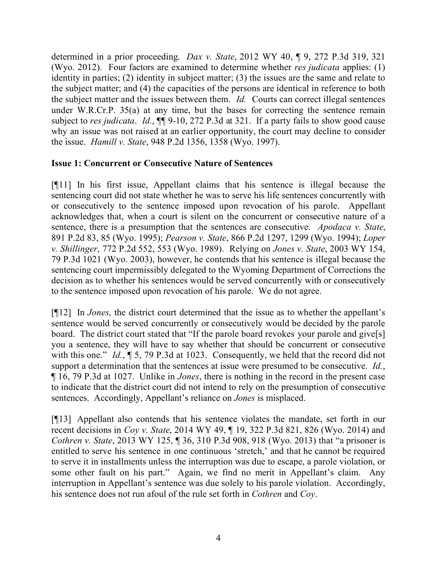determined in a prior proceeding. *Dax v. State*, 2012 WY 40, ¶ 9, 272 P.3d 319, 321 (Wyo. 2012).Four factors are examined to determine whether *res judicata* applies: (1) identity in parties; (2) identity in subject matter; (3) the issues are the same and relate to the subject matter; and (4) the capacities of the persons are identical in reference to both the subject matter and the issues between them. *Id.* Courts can correct illegal sentences under W.R.Cr.P. 35(a) at any time, but the bases for correcting the sentence remain subject to *res judicata*. *Id.*, ¶¶ 9-10, 272 P.3d at 321. If a party fails to show good cause why an issue was not raised at an earlier opportunity, the court may decline to consider the issue. *Hamill v. State*, 948 P.2d 1356, 1358 (Wyo. 1997).

## **Issue 1: Concurrent or Consecutive Nature of Sentences**

[¶11] In his first issue, Appellant claims that his sentence is illegal because the sentencing court did not state whether he was to serve his life sentences concurrently with or consecutively to the sentence imposed upon revocation of his parole. Appellant acknowledges that, when a court is silent on the concurrent or consecutive nature of a sentence, there is a presumption that the sentences are consecutive. *Apodaca v. State*, 891 P.2d 83, 85 (Wyo. 1995); *Pearson v. State*, 866 P.2d 1297, 1299 (Wyo. 1994); *Loper v. Shillinger*, 772 P.2d 552, 553 (Wyo. 1989). Relying on *Jones v. State*, 2003 WY 154, 79 P.3d 1021 (Wyo. 2003), however, he contends that his sentence is illegal because the sentencing court impermissibly delegated to the Wyoming Department of Corrections the decision as to whether his sentences would be served concurrently with or consecutively to the sentence imposed upon revocation of his parole. We do not agree.

[¶12] In *Jones,* the district court determined that the issue as to whether the appellant's sentence would be served concurrently or consecutively would be decided by the parole board. The district court stated that "If the parole board revokes your parole and give[s] you a sentence, they will have to say whether that should be concurrent or consecutive with this one." *Id.*,  $\[\, 5, 79 \, \text{P} \cdot 3\ \text{d}$  at 1023. Consequently, we held that the record did not support a determination that the sentences at issue were presumed to be consecutive. *Id.*, ¶ 16, 79 P.3d at 1027. Unlike in *Jones*, there is nothing in the record in the present case to indicate that the district court did not intend to rely on the presumption of consecutive sentences. Accordingly, Appellant's reliance on *Jones* is misplaced.

[¶13] Appellant also contends that his sentence violates the mandate, set forth in our recent decisions in *Coy v. State*, 2014 WY 49, ¶ 19, 322 P.3d 821, 826 (Wyo. 2014) and *Cothren v. State*, 2013 WY 125, ¶ 36, 310 P.3d 908, 918 (Wyo. 2013) that "a prisoner is entitled to serve his sentence in one continuous 'stretch,' and that he cannot be required to serve it in installments unless the interruption was due to escape, a parole violation, or some other fault on his part." Again, we find no merit in Appellant's claim. Any interruption in Appellant's sentence was due solely to his parole violation. Accordingly, his sentence does not run afoul of the rule set forth in *Cothren* and *Coy*.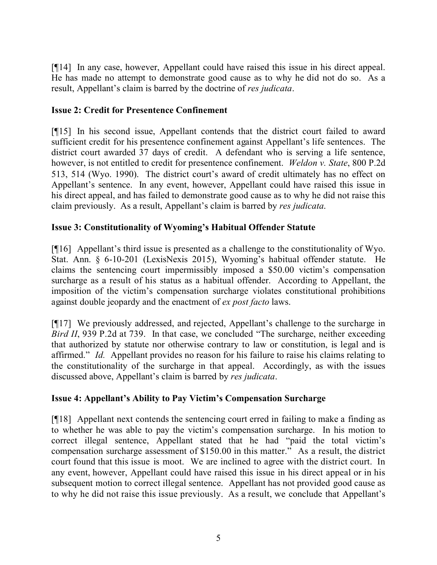[¶14] In any case, however, Appellant could have raised this issue in his direct appeal. He has made no attempt to demonstrate good cause as to why he did not do so. As a result, Appellant's claim is barred by the doctrine of *res judicata*.

## **Issue 2: Credit for Presentence Confinement**

[¶15] In his second issue, Appellant contends that the district court failed to award sufficient credit for his presentence confinement against Appellant's life sentences. The district court awarded 37 days of credit. A defendant who is serving a life sentence, however, is not entitled to credit for presentence confinement. *Weldon v. State*, 800 P.2d 513, 514 (Wyo. 1990). The district court's award of credit ultimately has no effect on Appellant's sentence. In any event, however, Appellant could have raised this issue in his direct appeal, and has failed to demonstrate good cause as to why he did not raise this claim previously. As a result, Appellant's claim is barred by *res judicata*.

## **Issue 3: Constitutionality of Wyoming's Habitual Offender Statute**

[¶16] Appellant's third issue is presented as a challenge to the constitutionality of Wyo. Stat. Ann. § 6-10-201 (LexisNexis 2015), Wyoming's habitual offender statute. He claims the sentencing court impermissibly imposed a \$50.00 victim's compensation surcharge as a result of his status as a habitual offender. According to Appellant, the imposition of the victim's compensation surcharge violates constitutional prohibitions against double jeopardy and the enactment of *ex post facto* laws.

[¶17] We previously addressed, and rejected, Appellant's challenge to the surcharge in *Bird II*, 939 P.2d at 739. In that case, we concluded "The surcharge, neither exceeding that authorized by statute nor otherwise contrary to law or constitution, is legal and is affirmed." *Id.* Appellant provides no reason for his failure to raise his claims relating to the constitutionality of the surcharge in that appeal. Accordingly, as with the issues discussed above, Appellant's claim is barred by *res judicata*.

# **Issue 4: Appellant's Ability to Pay Victim's Compensation Surcharge**

[¶18] Appellant next contends the sentencing court erred in failing to make a finding as to whether he was able to pay the victim's compensation surcharge. In his motion to correct illegal sentence, Appellant stated that he had "paid the total victim's compensation surcharge assessment of \$150.00 in this matter." As a result, the district court found that this issue is moot. We are inclined to agree with the district court. In any event, however, Appellant could have raised this issue in his direct appeal or in his subsequent motion to correct illegal sentence. Appellant has not provided good cause as to why he did not raise this issue previously. As a result, we conclude that Appellant's